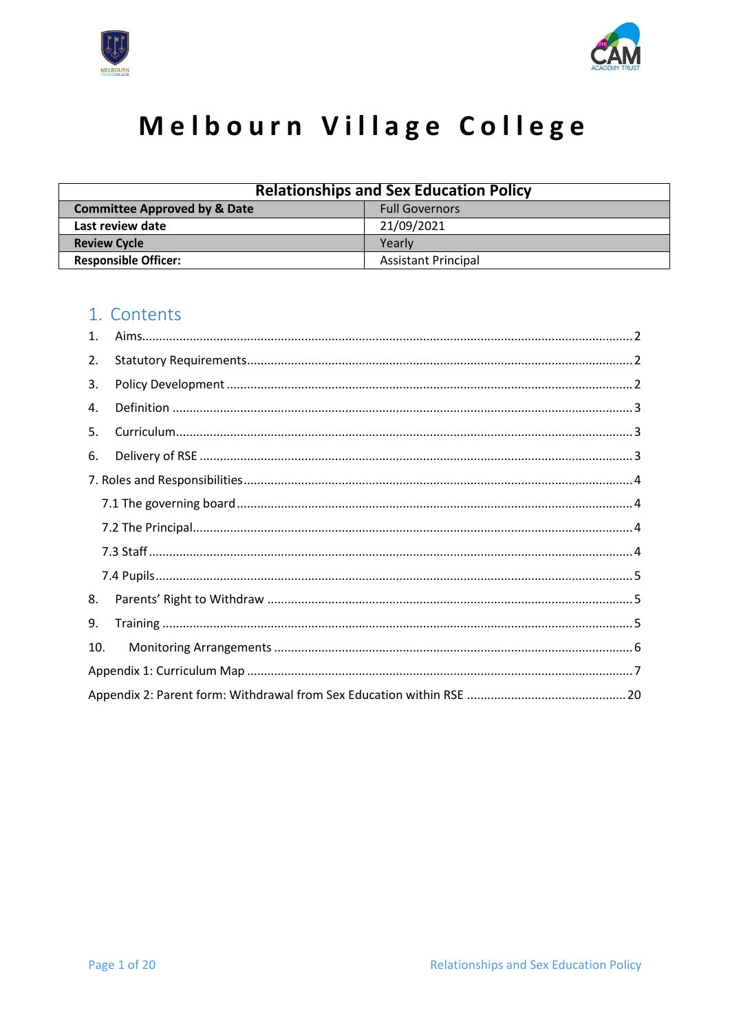



# Melbourn Village College

| <b>Relationships and Sex Education Policy</b>                    |                            |  |  |
|------------------------------------------------------------------|----------------------------|--|--|
| <b>Committee Approved by &amp; Date</b><br><b>Full Governors</b> |                            |  |  |
| Last review date                                                 | 21/09/2021                 |  |  |
| <b>Review Cycle</b><br>Yearly                                    |                            |  |  |
| <b>Responsible Officer:</b>                                      | <b>Assistant Principal</b> |  |  |

### 1. Contents

| 1.  |  |
|-----|--|
| 2.  |  |
| 3.  |  |
| 4.  |  |
| 5.  |  |
| 6.  |  |
|     |  |
|     |  |
|     |  |
|     |  |
|     |  |
| 8.  |  |
| 9.  |  |
| 10. |  |
|     |  |
|     |  |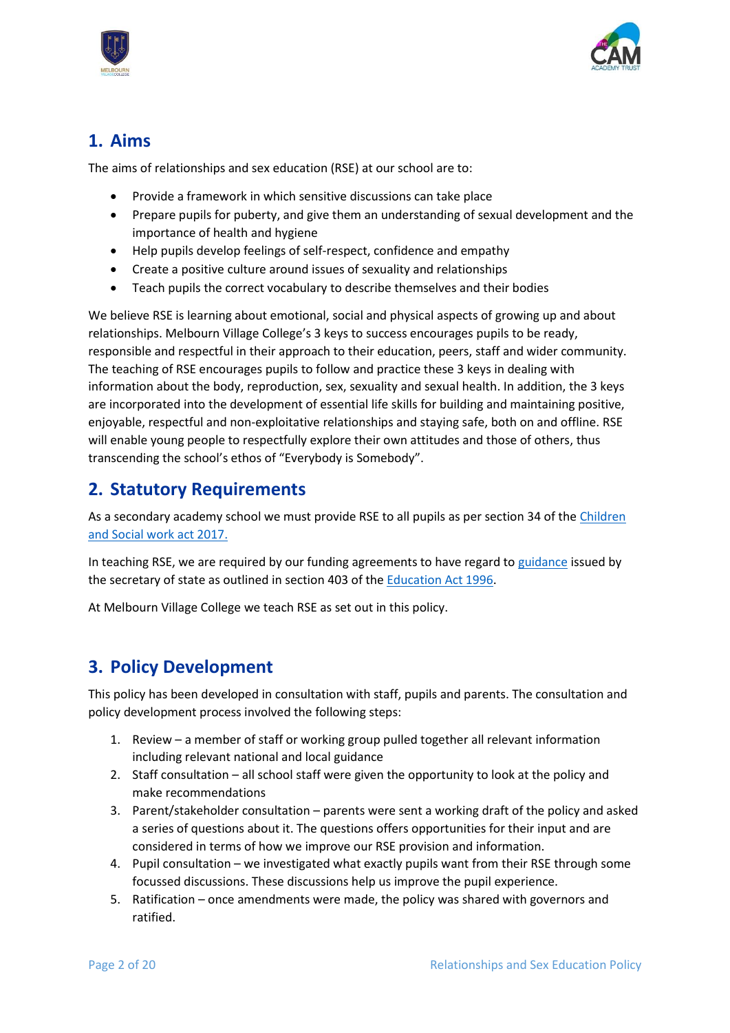



### <span id="page-1-0"></span>**1. Aims**

The aims of relationships and sex education (RSE) at our school are to:

- Provide a framework in which sensitive discussions can take place
- Prepare pupils for puberty, and give them an understanding of sexual development and the importance of health and hygiene
- Help pupils develop feelings of self-respect, confidence and empathy
- Create a positive culture around issues of sexuality and relationships
- Teach pupils the correct vocabulary to describe themselves and their bodies

We believe RSE is learning about emotional, social and physical aspects of growing up and about relationships. Melbourn Village College's 3 keys to success encourages pupils to be ready, responsible and respectful in their approach to their education, peers, staff and wider community. The teaching of RSE encourages pupils to follow and practice these 3 keys in dealing with information about the body, reproduction, sex, sexuality and sexual health. In addition, the 3 keys are incorporated into the development of essential life skills for building and maintaining positive, enjoyable, respectful and non-exploitative relationships and staying safe, both on and offline. RSE will enable young people to respectfully explore their own attitudes and those of others, thus transcending the school's ethos of "Everybody is Somebody".

### <span id="page-1-1"></span>**2. Statutory Requirements**

As a secondary academy school we must provide RSE to all pupils as per section 34 of th[e Children](http://www.legislation.gov.uk/ukpga/2017/16/section/34/enacted)  [and Social work act 2017.](http://www.legislation.gov.uk/ukpga/2017/16/section/34/enacted)

In teaching RSE, we are required by our funding agreements to have regard t[o guidance](https://www.gov.uk/government/consultations/relationships-and-sex-education-and-health-education) issued by the secretary of state as outlined in section 403 of th[e Education Act 1996.](http://www.legislation.gov.uk/ukpga/1996/56/contents)

At Melbourn Village College we teach RSE as set out in this policy.

### <span id="page-1-2"></span>**3. Policy Development**

This policy has been developed in consultation with staff, pupils and parents. The consultation and policy development process involved the following steps:

- 1. Review a member of staff or working group pulled together all relevant information including relevant national and local guidance
- 2. Staff consultation all school staff were given the opportunity to look at the policy and make recommendations
- 3. Parent/stakeholder consultation parents were sent a working draft of the policy and asked a series of questions about it. The questions offers opportunities for their input and are considered in terms of how we improve our RSE provision and information.
- 4. Pupil consultation we investigated what exactly pupils want from their RSE through some focussed discussions. These discussions help us improve the pupil experience.
- 5. Ratification once amendments were made, the policy was shared with governors and ratified.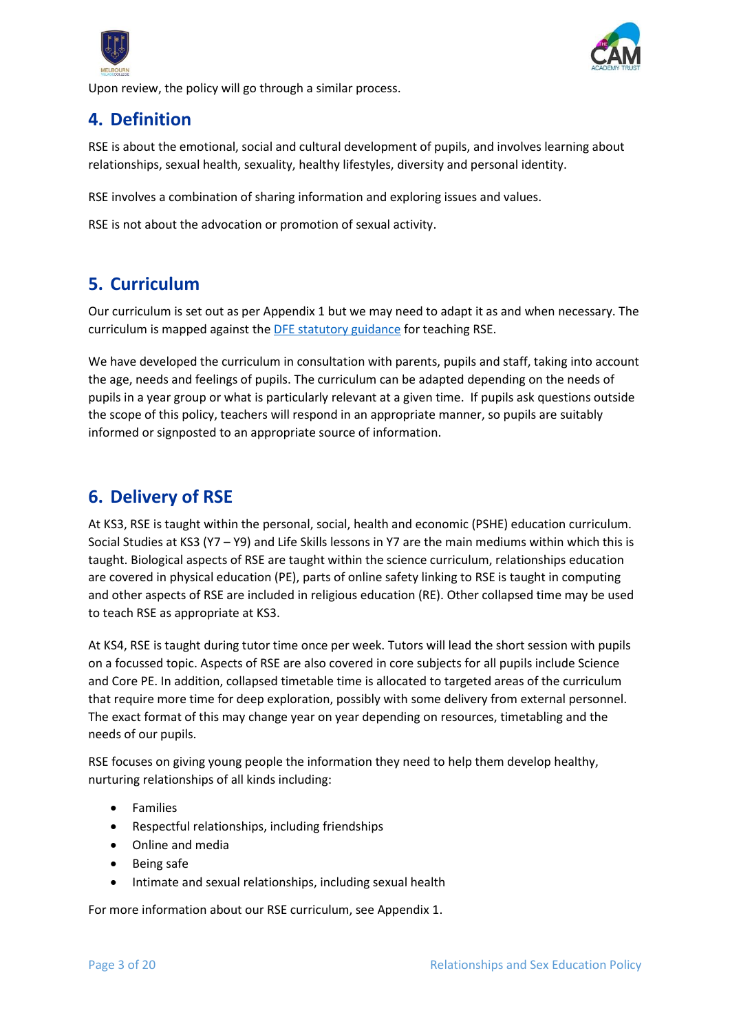



Upon review, the policy will go through a similar process.

### <span id="page-2-0"></span>**4. Definition**

RSE is about the emotional, social and cultural development of pupils, and involves learning about relationships, sexual health, sexuality, healthy lifestyles, diversity and personal identity.

RSE involves a combination of sharing information and exploring issues and values.

RSE is not about the advocation or promotion of sexual activity.

### <span id="page-2-1"></span>**5. Curriculum**

Our curriculum is set out as per Appendix 1 but we may need to adapt it as and when necessary. The curriculum is mapped against the [DFE statutory guidance](https://assets.publishing.service.gov.uk/government/uploads/system/uploads/attachment_data/file/908013/Relationships_Education__Relationships_and_Sex_Education__RSE__and_Health_Education.pdf) for teaching RSE.

We have developed the curriculum in consultation with parents, pupils and staff, taking into account the age, needs and feelings of pupils. The curriculum can be adapted depending on the needs of pupils in a year group or what is particularly relevant at a given time. If pupils ask questions outside the scope of this policy, teachers will respond in an appropriate manner, so pupils are suitably informed or signposted to an appropriate source of information.

### <span id="page-2-2"></span>**6. Delivery of RSE**

At KS3, RSE is taught within the personal, social, health and economic (PSHE) education curriculum. Social Studies at KS3 (Y7 – Y9) and Life Skills lessons in Y7 are the main mediums within which this is taught. Biological aspects of RSE are taught within the science curriculum, relationships education are covered in physical education (PE), parts of online safety linking to RSE is taught in computing and other aspects of RSE are included in religious education (RE). Other collapsed time may be used to teach RSE as appropriate at KS3.

At KS4, RSE is taught during tutor time once per week. Tutors will lead the short session with pupils on a focussed topic. Aspects of RSE are also covered in core subjects for all pupils include Science and Core PE. In addition, collapsed timetable time is allocated to targeted areas of the curriculum that require more time for deep exploration, possibly with some delivery from external personnel. The exact format of this may change year on year depending on resources, timetabling and the needs of our pupils.

RSE focuses on giving young people the information they need to help them develop healthy, nurturing relationships of all kinds including:

- Families
- Respectful relationships, including friendships
- Online and media
- Being safe
- Intimate and sexual relationships, including sexual health

For more information about our RSE curriculum, see Appendix 1.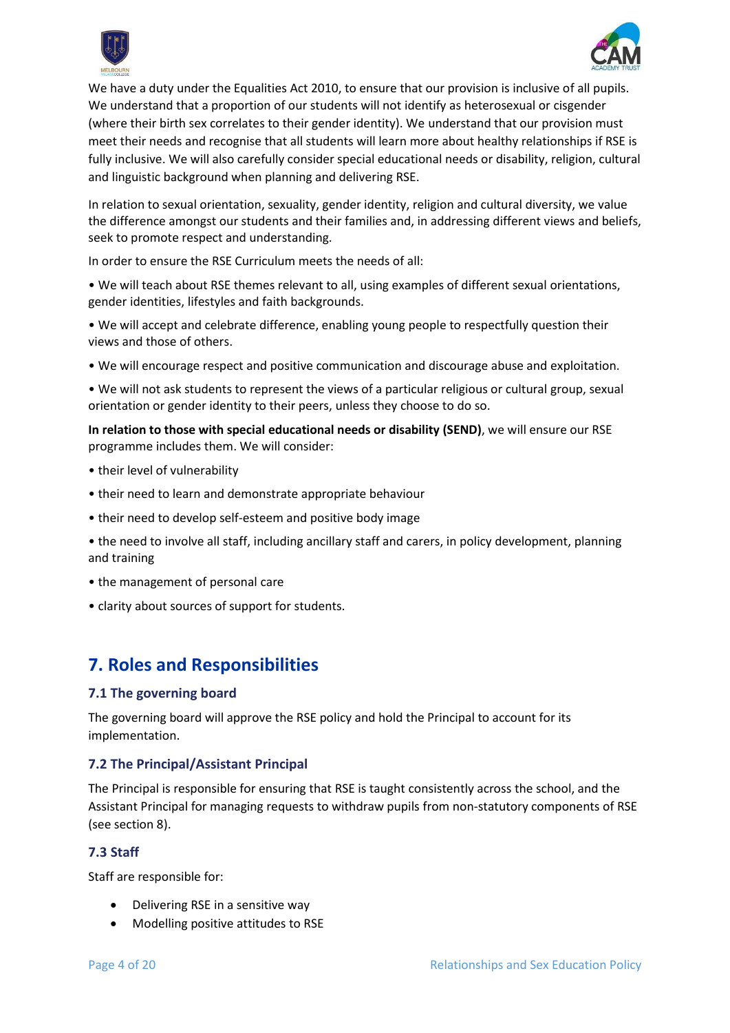



We have a duty under the Equalities Act 2010, to ensure that our provision is inclusive of all pupils. We understand that a proportion of our students will not identify as heterosexual or cisgender (where their birth sex correlates to their gender identity). We understand that our provision must meet their needs and recognise that all students will learn more about healthy relationships if RSE is fully inclusive. We will also carefully consider special educational needs or disability, religion, cultural and linguistic background when planning and delivering RSE.

In relation to sexual orientation, sexuality, gender identity, religion and cultural diversity, we value the difference amongst our students and their families and, in addressing different views and beliefs, seek to promote respect and understanding.

In order to ensure the RSE Curriculum meets the needs of all:

• We will teach about RSE themes relevant to all, using examples of different sexual orientations, gender identities, lifestyles and faith backgrounds.

• We will accept and celebrate difference, enabling young people to respectfully question their views and those of others.

• We will encourage respect and positive communication and discourage abuse and exploitation.

• We will not ask students to represent the views of a particular religious or cultural group, sexual orientation or gender identity to their peers, unless they choose to do so.

**In relation to those with special educational needs or disability (SEND)**, we will ensure our RSE programme includes them. We will consider:

- their level of vulnerability
- their need to learn and demonstrate appropriate behaviour
- their need to develop self-esteem and positive body image
- the need to involve all staff, including ancillary staff and carers, in policy development, planning and training
- the management of personal care
- <span id="page-3-0"></span>• clarity about sources of support for students.

### **7. Roles and Responsibilities**

#### <span id="page-3-1"></span>**7.1 The governing board**

The governing board will approve the RSE policy and hold the Principal to account for its implementation.

#### <span id="page-3-2"></span>**7.2 The Principal/Assistant Principal**

The Principal is responsible for ensuring that RSE is taught consistently across the school, and the Assistant Principal for managing requests to withdraw pupils from non-statutory components of RSE (see section 8).

#### <span id="page-3-3"></span>**7.3 Staff**

Staff are responsible for:

- Delivering RSE in a sensitive way
- Modelling positive attitudes to RSE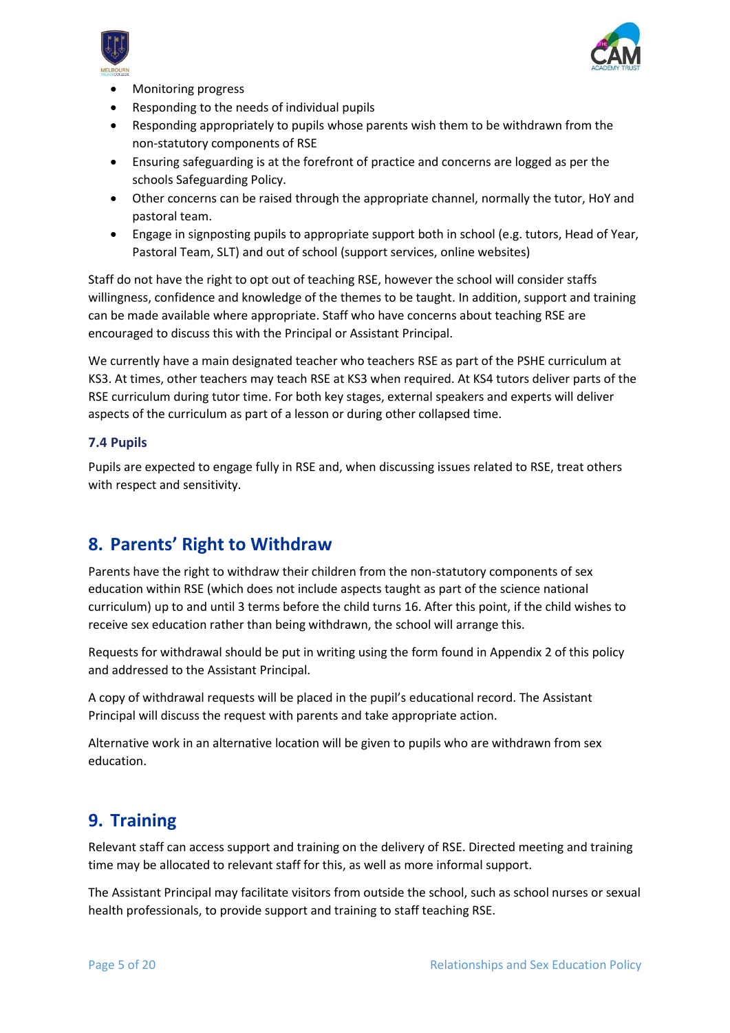



- Monitoring progress
- Responding to the needs of individual pupils
- Responding appropriately to pupils whose parents wish them to be withdrawn from the non-statutory components of RSE
- Ensuring safeguarding is at the forefront of practice and concerns are logged as per the schools Safeguarding Policy.
- Other concerns can be raised through the appropriate channel, normally the tutor, HoY and pastoral team.
- Engage in signposting pupils to appropriate support both in school (e.g. tutors, Head of Year, Pastoral Team, SLT) and out of school (support services, online websites)

Staff do not have the right to opt out of teaching RSE, however the school will consider staffs willingness, confidence and knowledge of the themes to be taught. In addition, support and training can be made available where appropriate. Staff who have concerns about teaching RSE are encouraged to discuss this with the Principal or Assistant Principal.

We currently have a main designated teacher who teachers RSE as part of the PSHE curriculum at KS3. At times, other teachers may teach RSE at KS3 when required. At KS4 tutors deliver parts of the RSE curriculum during tutor time. For both key stages, external speakers and experts will deliver aspects of the curriculum as part of a lesson or during other collapsed time.

#### <span id="page-4-0"></span>**7.4 Pupils**

Pupils are expected to engage fully in RSE and, when discussing issues related to RSE, treat others with respect and sensitivity.

### <span id="page-4-1"></span>**8. Parents' Right to Withdraw**

Parents have the right to withdraw their children from the non-statutory components of sex education within RSE (which does not include aspects taught as part of the science national curriculum) up to and until 3 terms before the child turns 16. After this point, if the child wishes to receive sex education rather than being withdrawn, the school will arrange this.

Requests for withdrawal should be put in writing using the form found in Appendix 2 of this policy and addressed to the Assistant Principal.

A copy of withdrawal requests will be placed in the pupil's educational record. The Assistant Principal will discuss the request with parents and take appropriate action.

Alternative work in an alternative location will be given to pupils who are withdrawn from sex education.

### <span id="page-4-2"></span>**9. Training**

Relevant staff can access support and training on the delivery of RSE. Directed meeting and training time may be allocated to relevant staff for this, as well as more informal support.

The Assistant Principal may facilitate visitors from outside the school, such as school nurses or sexual health professionals, to provide support and training to staff teaching RSE.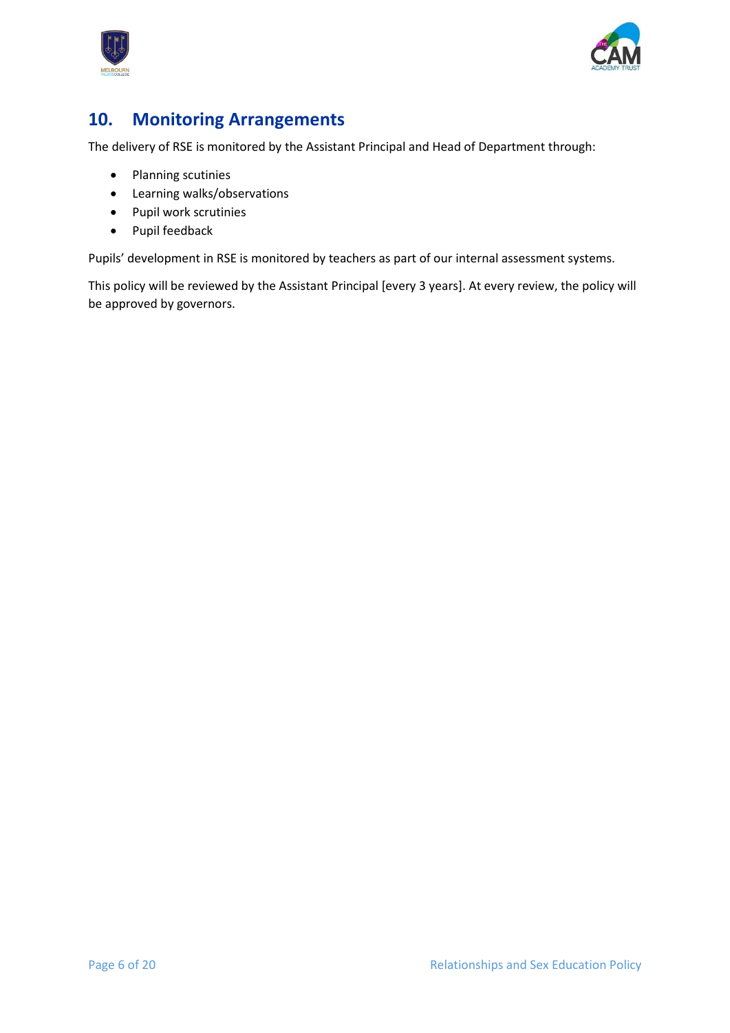



### <span id="page-5-0"></span>**10. Monitoring Arrangements**

The delivery of RSE is monitored by the Assistant Principal and Head of Department through:

- Planning scutinies
- Learning walks/observations
- Pupil work scrutinies
- Pupil feedback

Pupils' development in RSE is monitored by teachers as part of our internal assessment systems.

This policy will be reviewed by the Assistant Principal [every 3 years]. At every review, the policy will be approved by governors.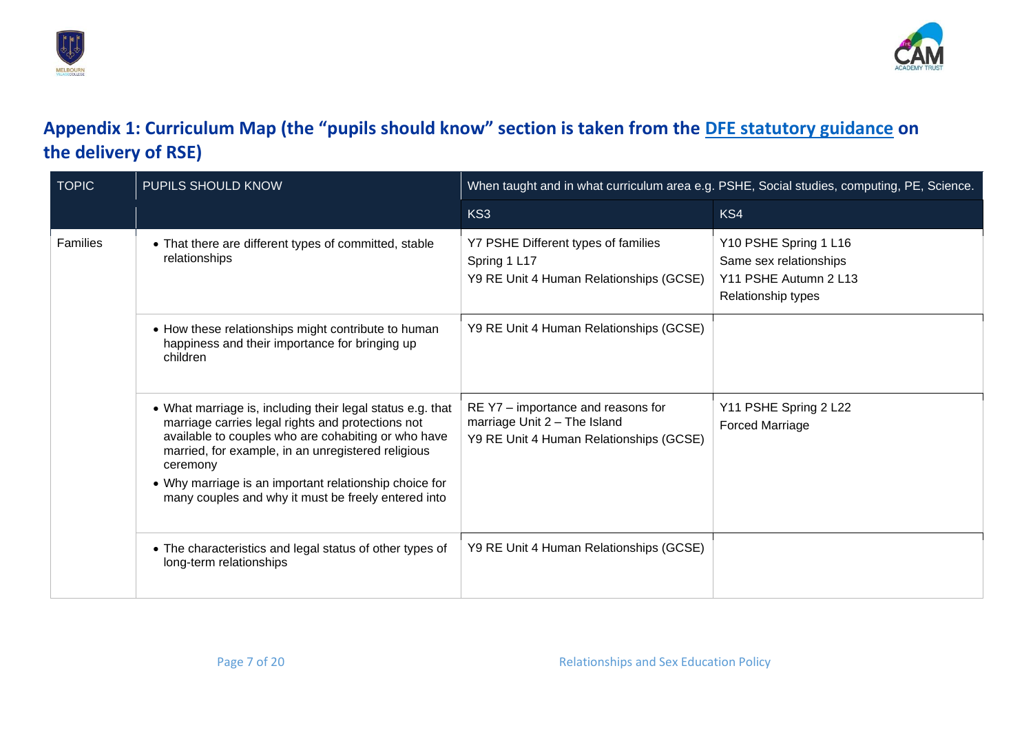



## **Appendix 1: Curriculum Map (the "pupils should know" section is taken from the [DFE statutory guidance](https://assets.publishing.service.gov.uk/government/uploads/system/uploads/attachment_data/file/908013/Relationships_Education__Relationships_and_Sex_Education__RSE__and_Health_Education.pdf) on the delivery of RSE)**

<span id="page-6-0"></span>

| <b>TOPIC</b> | PUPILS SHOULD KNOW                                                                                                                                                                                                                                                                                                                                        | When taught and in what curriculum area e.g. PSHE, Social studies, computing, PE, Science.                    |                                                                                                |
|--------------|-----------------------------------------------------------------------------------------------------------------------------------------------------------------------------------------------------------------------------------------------------------------------------------------------------------------------------------------------------------|---------------------------------------------------------------------------------------------------------------|------------------------------------------------------------------------------------------------|
|              |                                                                                                                                                                                                                                                                                                                                                           | KS3                                                                                                           | KS4                                                                                            |
| Families     | • That there are different types of committed, stable<br>relationships                                                                                                                                                                                                                                                                                    | Y7 PSHE Different types of families<br>Spring 1 L17<br>Y9 RE Unit 4 Human Relationships (GCSE)                | Y10 PSHE Spring 1 L16<br>Same sex relationships<br>Y11 PSHE Autumn 2 L13<br>Relationship types |
|              | • How these relationships might contribute to human<br>happiness and their importance for bringing up<br>children                                                                                                                                                                                                                                         | Y9 RE Unit 4 Human Relationships (GCSE)                                                                       |                                                                                                |
|              | • What marriage is, including their legal status e.g. that<br>marriage carries legal rights and protections not<br>available to couples who are cohabiting or who have<br>married, for example, in an unregistered religious<br>ceremony<br>• Why marriage is an important relationship choice for<br>many couples and why it must be freely entered into | RE Y7 – importance and reasons for<br>marriage Unit 2 - The Island<br>Y9 RE Unit 4 Human Relationships (GCSE) | Y11 PSHE Spring 2 L22<br><b>Forced Marriage</b>                                                |
|              | • The characteristics and legal status of other types of<br>long-term relationships                                                                                                                                                                                                                                                                       | Y9 RE Unit 4 Human Relationships (GCSE)                                                                       |                                                                                                |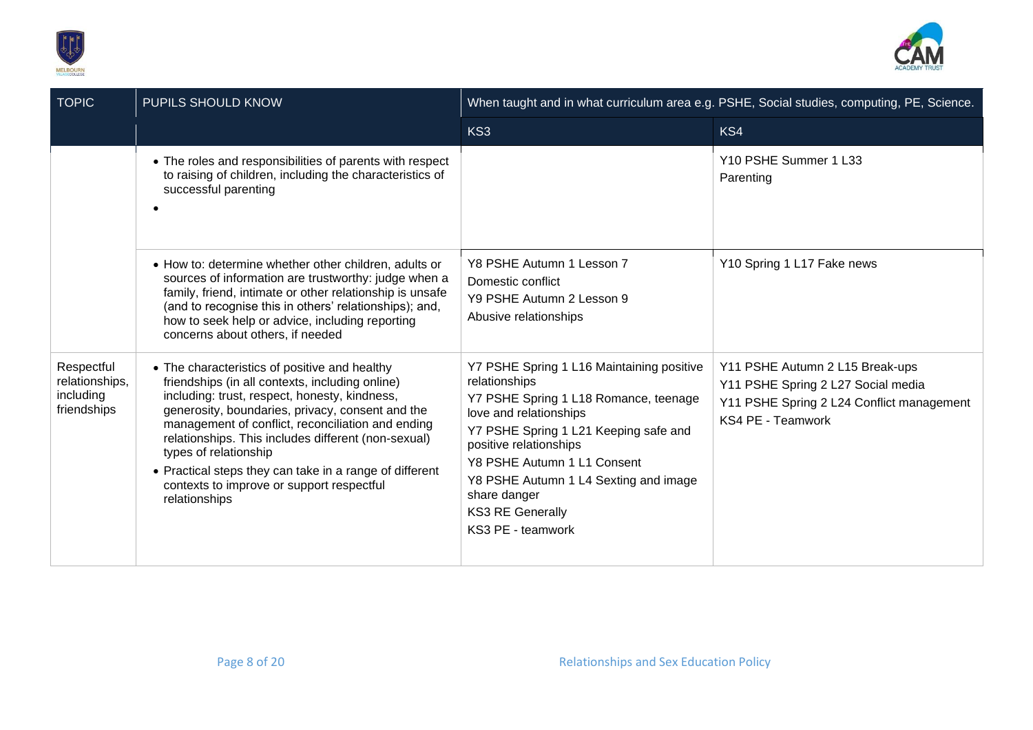



| <b>TOPIC</b>                                             | PUPILS SHOULD KNOW                                                                                                                                                                                                                                                                                                                                                                                                                                                  |                                                                                                                                                                                                                                                                                                                                          | When taught and in what curriculum area e.g. PSHE, Social studies, computing, PE, Science.                                              |
|----------------------------------------------------------|---------------------------------------------------------------------------------------------------------------------------------------------------------------------------------------------------------------------------------------------------------------------------------------------------------------------------------------------------------------------------------------------------------------------------------------------------------------------|------------------------------------------------------------------------------------------------------------------------------------------------------------------------------------------------------------------------------------------------------------------------------------------------------------------------------------------|-----------------------------------------------------------------------------------------------------------------------------------------|
|                                                          |                                                                                                                                                                                                                                                                                                                                                                                                                                                                     | KS3                                                                                                                                                                                                                                                                                                                                      | KS4                                                                                                                                     |
|                                                          | • The roles and responsibilities of parents with respect<br>to raising of children, including the characteristics of<br>successful parenting                                                                                                                                                                                                                                                                                                                        |                                                                                                                                                                                                                                                                                                                                          | Y10 PSHE Summer 1 L33<br>Parenting                                                                                                      |
|                                                          | • How to: determine whether other children, adults or<br>sources of information are trustworthy: judge when a<br>family, friend, intimate or other relationship is unsafe<br>(and to recognise this in others' relationships); and,<br>how to seek help or advice, including reporting<br>concerns about others, if needed                                                                                                                                          | Y8 PSHE Autumn 1 Lesson 7<br>Domestic conflict<br>Y9 PSHE Autumn 2 Lesson 9<br>Abusive relationships                                                                                                                                                                                                                                     | Y10 Spring 1 L17 Fake news                                                                                                              |
| Respectful<br>relationships,<br>including<br>friendships | • The characteristics of positive and healthy<br>friendships (in all contexts, including online)<br>including: trust, respect, honesty, kindness,<br>generosity, boundaries, privacy, consent and the<br>management of conflict, reconciliation and ending<br>relationships. This includes different (non-sexual)<br>types of relationship<br>• Practical steps they can take in a range of different<br>contexts to improve or support respectful<br>relationships | Y7 PSHE Spring 1 L16 Maintaining positive<br>relationships<br>Y7 PSHE Spring 1 L18 Romance, teenage<br>love and relationships<br>Y7 PSHE Spring 1 L21 Keeping safe and<br>positive relationships<br>Y8 PSHE Autumn 1 L1 Consent<br>Y8 PSHE Autumn 1 L4 Sexting and image<br>share danger<br><b>KS3 RE Generally</b><br>KS3 PE - teamwork | Y11 PSHE Autumn 2 L15 Break-ups<br>Y11 PSHE Spring 2 L27 Social media<br>Y11 PSHE Spring 2 L24 Conflict management<br>KS4 PE - Teamwork |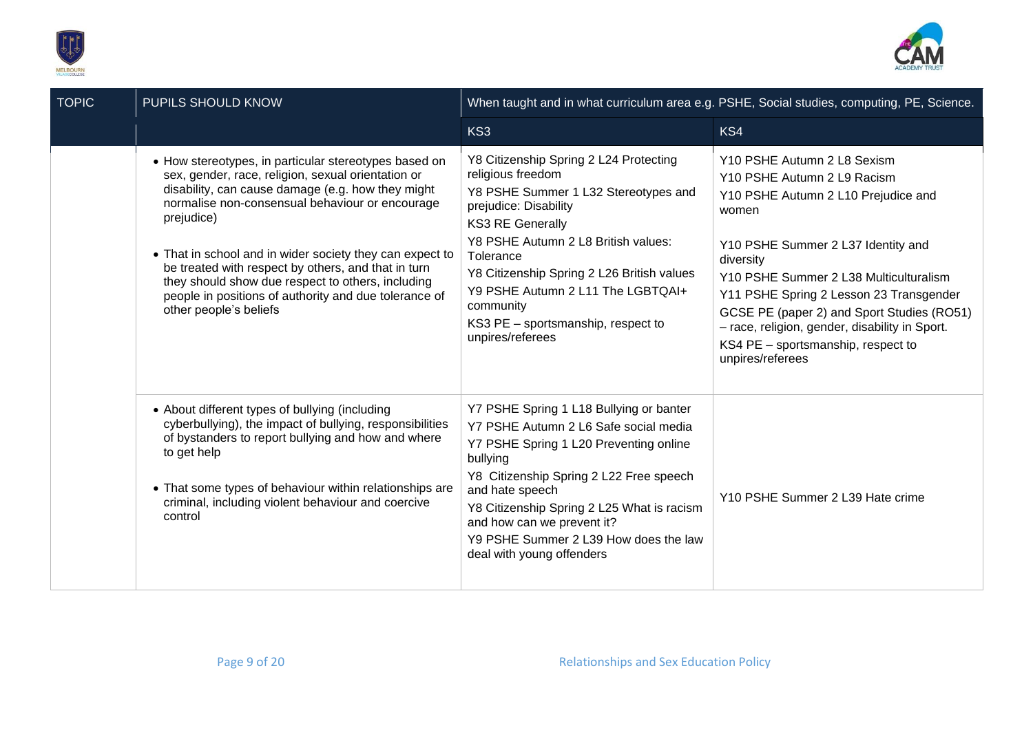



| <b>TOPIC</b> | PUPILS SHOULD KNOW                                                                                                                                                                                                                                                                                                                                                                                                                                                                           |                                                                                                                                                                                                                                                                                                                                                                       | When taught and in what curriculum area e.g. PSHE, Social studies, computing, PE, Science.                                                                                                                                                                                                                                                                                                                   |
|--------------|----------------------------------------------------------------------------------------------------------------------------------------------------------------------------------------------------------------------------------------------------------------------------------------------------------------------------------------------------------------------------------------------------------------------------------------------------------------------------------------------|-----------------------------------------------------------------------------------------------------------------------------------------------------------------------------------------------------------------------------------------------------------------------------------------------------------------------------------------------------------------------|--------------------------------------------------------------------------------------------------------------------------------------------------------------------------------------------------------------------------------------------------------------------------------------------------------------------------------------------------------------------------------------------------------------|
|              |                                                                                                                                                                                                                                                                                                                                                                                                                                                                                              | KS3                                                                                                                                                                                                                                                                                                                                                                   | KS4                                                                                                                                                                                                                                                                                                                                                                                                          |
|              | • How stereotypes, in particular stereotypes based on<br>sex, gender, race, religion, sexual orientation or<br>disability, can cause damage (e.g. how they might<br>normalise non-consensual behaviour or encourage<br>prejudice)<br>• That in school and in wider society they can expect to<br>be treated with respect by others, and that in turn<br>they should show due respect to others, including<br>people in positions of authority and due tolerance of<br>other people's beliefs | Y8 Citizenship Spring 2 L24 Protecting<br>religious freedom<br>Y8 PSHE Summer 1 L32 Stereotypes and<br>prejudice: Disability<br><b>KS3 RE Generally</b><br>Y8 PSHE Autumn 2 L8 British values:<br>Tolerance<br>Y8 Citizenship Spring 2 L26 British values<br>Y9 PSHE Autumn 2 L11 The LGBTQAI+<br>community<br>KS3 PE - sportsmanship, respect to<br>unpires/referees | Y10 PSHE Autumn 2 L8 Sexism<br>Y10 PSHE Autumn 2 L9 Racism<br>Y10 PSHE Autumn 2 L10 Prejudice and<br>women<br>Y10 PSHE Summer 2 L37 Identity and<br>diversity<br>Y10 PSHE Summer 2 L38 Multiculturalism<br>Y11 PSHE Spring 2 Lesson 23 Transgender<br>GCSE PE (paper 2) and Sport Studies (RO51)<br>- race, religion, gender, disability in Sport.<br>KS4 PE - sportsmanship, respect to<br>unpires/referees |
|              | • About different types of bullying (including<br>cyberbullying), the impact of bullying, responsibilities<br>of bystanders to report bullying and how and where<br>to get help<br>• That some types of behaviour within relationships are<br>criminal, including violent behaviour and coercive<br>control                                                                                                                                                                                  | Y7 PSHE Spring 1 L18 Bullying or banter<br>Y7 PSHE Autumn 2 L6 Safe social media<br>Y7 PSHE Spring 1 L20 Preventing online<br>bullying<br>Y8 Citizenship Spring 2 L22 Free speech<br>and hate speech<br>Y8 Citizenship Spring 2 L25 What is racism<br>and how can we prevent it?<br>Y9 PSHE Summer 2 L39 How does the law<br>deal with young offenders                | Y10 PSHE Summer 2 L39 Hate crime                                                                                                                                                                                                                                                                                                                                                                             |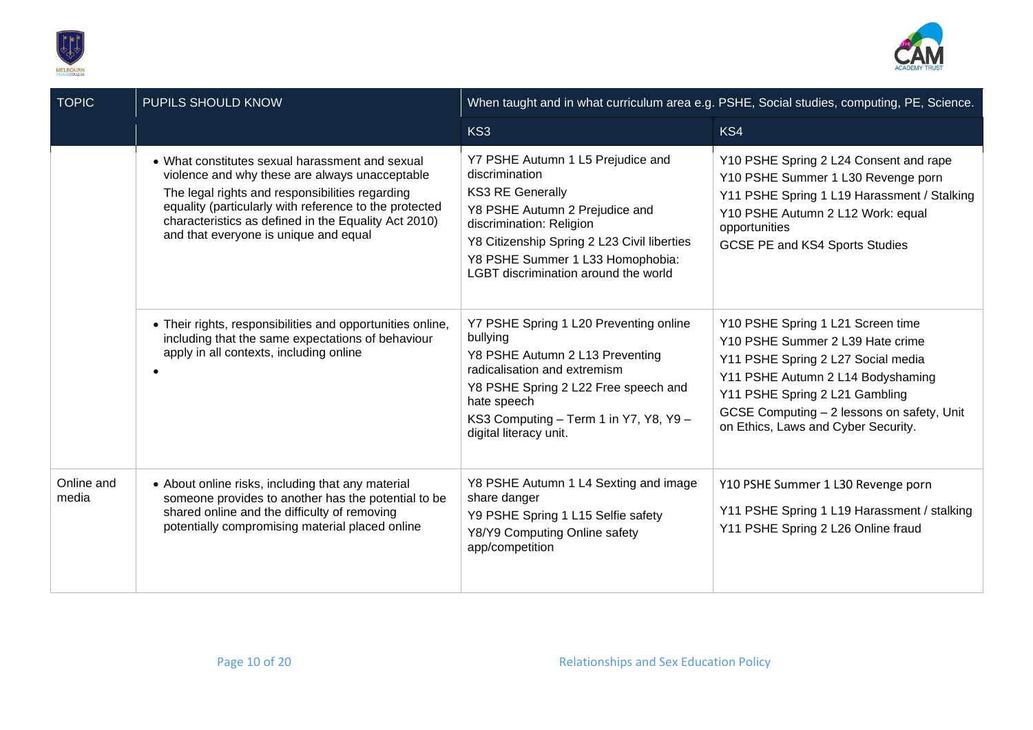



| <b>TOPIC</b>        | PUPILS SHOULD KNOW                                                                                                                                                                                                                                                                                              |                                                                                                                                                                                                                                                                         | When taught and in what curriculum area e.g. PSHE, Social studies, computing, PE, Science.                                                                                                                                                                              |
|---------------------|-----------------------------------------------------------------------------------------------------------------------------------------------------------------------------------------------------------------------------------------------------------------------------------------------------------------|-------------------------------------------------------------------------------------------------------------------------------------------------------------------------------------------------------------------------------------------------------------------------|-------------------------------------------------------------------------------------------------------------------------------------------------------------------------------------------------------------------------------------------------------------------------|
|                     |                                                                                                                                                                                                                                                                                                                 | KS3                                                                                                                                                                                                                                                                     | KS4                                                                                                                                                                                                                                                                     |
|                     | • What constitutes sexual harassment and sexual<br>violence and why these are always unacceptable<br>The legal rights and responsibilities regarding<br>equality (particularly with reference to the protected<br>characteristics as defined in the Equality Act 2010)<br>and that everyone is unique and equal | Y7 PSHE Autumn 1 L5 Prejudice and<br>discrimination<br><b>KS3 RE Generally</b><br>Y8 PSHE Autumn 2 Prejudice and<br>discrimination: Religion<br>Y8 Citizenship Spring 2 L23 Civil liberties<br>Y8 PSHE Summer 1 L33 Homophobia:<br>LGBT discrimination around the world | Y10 PSHE Spring 2 L24 Consent and rape<br>Y10 PSHE Summer 1 L30 Revenge porn<br>Y11 PSHE Spring 1 L19 Harassment / Stalking<br>Y10 PSHE Autumn 2 L12 Work: equal<br>opportunities<br>GCSE PE and KS4 Sports Studies                                                     |
|                     | • Their rights, responsibilities and opportunities online,<br>including that the same expectations of behaviour<br>apply in all contexts, including online<br>$\bullet$                                                                                                                                         | Y7 PSHE Spring 1 L20 Preventing online<br>bullying<br>Y8 PSHE Autumn 2 L13 Preventing<br>radicalisation and extremism<br>Y8 PSHE Spring 2 L22 Free speech and<br>hate speech<br>KS3 Computing - Term 1 in Y7, Y8, Y9 -<br>digital literacy unit.                        | Y10 PSHE Spring 1 L21 Screen time<br>Y10 PSHE Summer 2 L39 Hate crime<br>Y11 PSHE Spring 2 L27 Social media<br>Y11 PSHE Autumn 2 L14 Bodyshaming<br>Y11 PSHE Spring 2 L21 Gambling<br>GCSE Computing - 2 lessons on safety, Unit<br>on Ethics, Laws and Cyber Security. |
| Online and<br>media | • About online risks, including that any material<br>someone provides to another has the potential to be<br>shared online and the difficulty of removing<br>potentially compromising material placed online                                                                                                     | Y8 PSHE Autumn 1 L4 Sexting and image<br>share danger<br>Y9 PSHE Spring 1 L15 Selfie safety<br>Y8/Y9 Computing Online safety<br>app/competition                                                                                                                         | Y10 PSHE Summer 1 L30 Revenge porn<br>Y11 PSHE Spring 1 L19 Harassment / stalking<br>Y11 PSHE Spring 2 L26 Online fraud                                                                                                                                                 |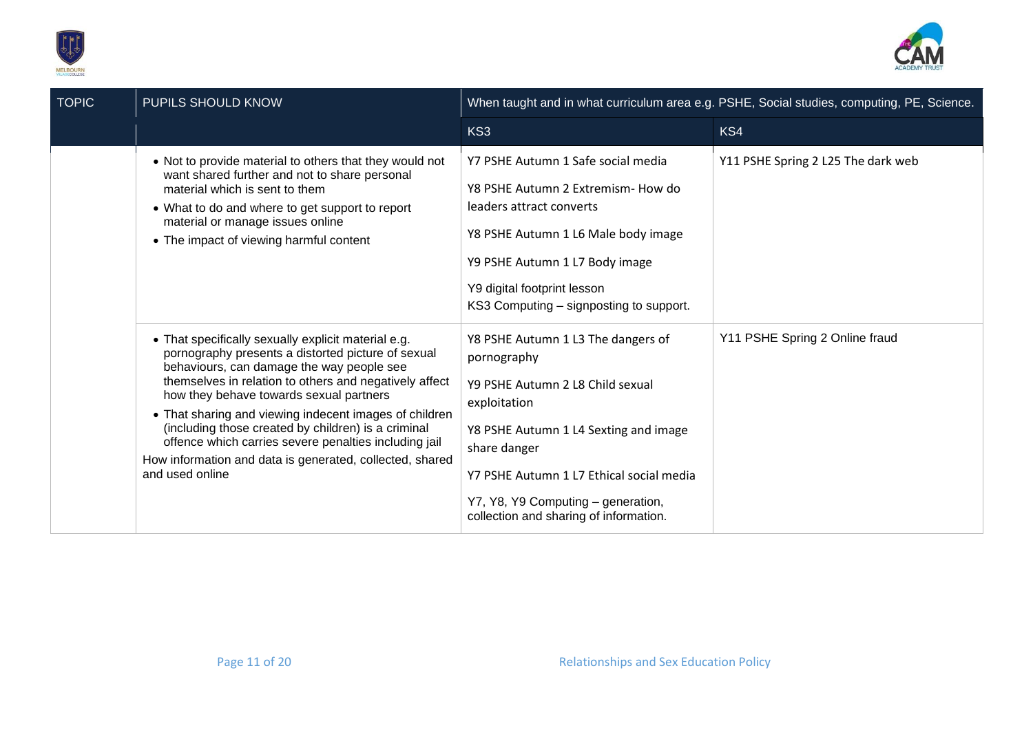



| <b>TOPIC</b> | PUPILS SHOULD KNOW                                                                                                                                                                                                                                                                                                                                                                                                                                                                                                   |                                                                                                                                                                                                                                                                                            | When taught and in what curriculum area e.g. PSHE, Social studies, computing, PE, Science. |
|--------------|----------------------------------------------------------------------------------------------------------------------------------------------------------------------------------------------------------------------------------------------------------------------------------------------------------------------------------------------------------------------------------------------------------------------------------------------------------------------------------------------------------------------|--------------------------------------------------------------------------------------------------------------------------------------------------------------------------------------------------------------------------------------------------------------------------------------------|--------------------------------------------------------------------------------------------|
|              |                                                                                                                                                                                                                                                                                                                                                                                                                                                                                                                      | KS3                                                                                                                                                                                                                                                                                        | KS4                                                                                        |
|              | • Not to provide material to others that they would not<br>want shared further and not to share personal<br>material which is sent to them<br>• What to do and where to get support to report<br>material or manage issues online<br>• The impact of viewing harmful content                                                                                                                                                                                                                                         | Y7 PSHE Autumn 1 Safe social media<br>Y8 PSHE Autumn 2 Extremism- How do<br>leaders attract converts<br>Y8 PSHE Autumn 1 L6 Male body image<br>Y9 PSHE Autumn 1 L7 Body image<br>Y9 digital footprint lesson<br>KS3 Computing – signposting to support.                                    | Y11 PSHE Spring 2 L25 The dark web                                                         |
|              | • That specifically sexually explicit material e.g.<br>pornography presents a distorted picture of sexual<br>behaviours, can damage the way people see<br>themselves in relation to others and negatively affect<br>how they behave towards sexual partners<br>• That sharing and viewing indecent images of children<br>(including those created by children) is a criminal<br>offence which carries severe penalties including jail<br>How information and data is generated, collected, shared<br>and used online | Y8 PSHE Autumn 1 L3 The dangers of<br>pornography<br>Y9 PSHE Autumn 2 L8 Child sexual<br>exploitation<br>Y8 PSHE Autumn 1 L4 Sexting and image<br>share danger<br>Y7 PSHE Autumn 1 L7 Ethical social media<br>Y7, Y8, Y9 Computing - generation,<br>collection and sharing of information. | Y11 PSHE Spring 2 Online fraud                                                             |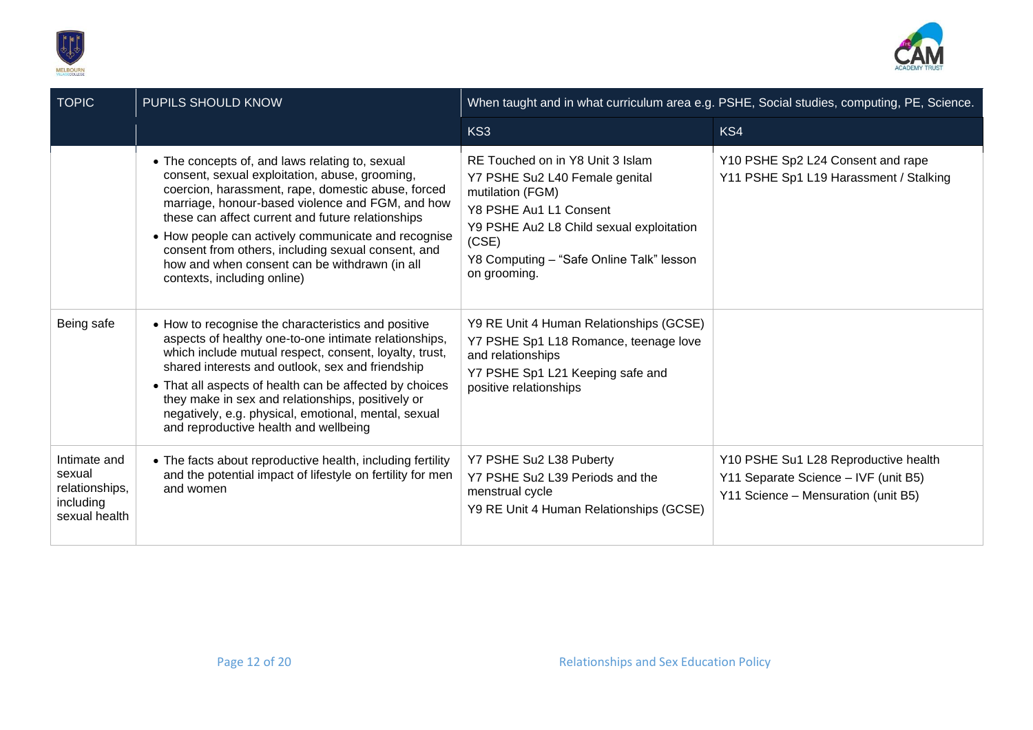



| <b>TOPIC</b>                                                           | PUPILS SHOULD KNOW                                                                                                                                                                                                                                                                                                                                                                                                                                            |                                                                                                                                                                                                                                   | When taught and in what curriculum area e.g. PSHE, Social studies, computing, PE, Science.                          |
|------------------------------------------------------------------------|---------------------------------------------------------------------------------------------------------------------------------------------------------------------------------------------------------------------------------------------------------------------------------------------------------------------------------------------------------------------------------------------------------------------------------------------------------------|-----------------------------------------------------------------------------------------------------------------------------------------------------------------------------------------------------------------------------------|---------------------------------------------------------------------------------------------------------------------|
|                                                                        |                                                                                                                                                                                                                                                                                                                                                                                                                                                               | KS3                                                                                                                                                                                                                               | KS4                                                                                                                 |
|                                                                        | • The concepts of, and laws relating to, sexual<br>consent, sexual exploitation, abuse, grooming,<br>coercion, harassment, rape, domestic abuse, forced<br>marriage, honour-based violence and FGM, and how<br>these can affect current and future relationships<br>• How people can actively communicate and recognise<br>consent from others, including sexual consent, and<br>how and when consent can be withdrawn (in all<br>contexts, including online) | RE Touched on in Y8 Unit 3 Islam<br>Y7 PSHE Su2 L40 Female genital<br>mutilation (FGM)<br>Y8 PSHE Au1 L1 Consent<br>Y9 PSHE Au2 L8 Child sexual exploitation<br>(CSE)<br>Y8 Computing - "Safe Online Talk" lesson<br>on grooming. | Y10 PSHE Sp2 L24 Consent and rape<br>Y11 PSHE Sp1 L19 Harassment / Stalking                                         |
| Being safe                                                             | • How to recognise the characteristics and positive<br>aspects of healthy one-to-one intimate relationships,<br>which include mutual respect, consent, loyalty, trust,<br>shared interests and outlook, sex and friendship<br>• That all aspects of health can be affected by choices<br>they make in sex and relationships, positively or<br>negatively, e.g. physical, emotional, mental, sexual<br>and reproductive health and wellbeing                   | Y9 RE Unit 4 Human Relationships (GCSE)<br>Y7 PSHE Sp1 L18 Romance, teenage love<br>and relationships<br>Y7 PSHE Sp1 L21 Keeping safe and<br>positive relationships                                                               |                                                                                                                     |
| Intimate and<br>sexual<br>relationships,<br>including<br>sexual health | • The facts about reproductive health, including fertility<br>and the potential impact of lifestyle on fertility for men<br>and women                                                                                                                                                                                                                                                                                                                         | Y7 PSHE Su2 L38 Puberty<br>Y7 PSHE Su2 L39 Periods and the<br>menstrual cycle<br>Y9 RE Unit 4 Human Relationships (GCSE)                                                                                                          | Y10 PSHE Su1 L28 Reproductive health<br>Y11 Separate Science - IVF (unit B5)<br>Y11 Science - Mensuration (unit B5) |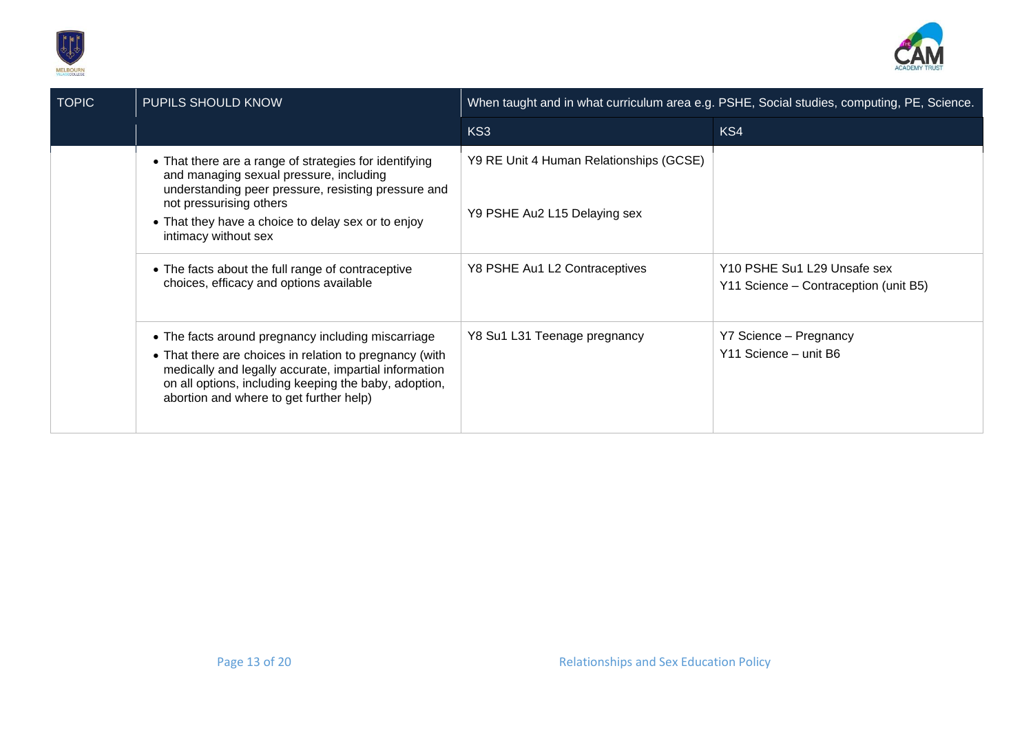



| <b>TOPIC</b> | PUPILS SHOULD KNOW                                                                                                                                                                                                                                                         | When taught and in what curriculum area e.g. PSHE, Social studies, computing, PE, Science. |                                                                      |
|--------------|----------------------------------------------------------------------------------------------------------------------------------------------------------------------------------------------------------------------------------------------------------------------------|--------------------------------------------------------------------------------------------|----------------------------------------------------------------------|
|              |                                                                                                                                                                                                                                                                            | KS3                                                                                        | KS4                                                                  |
|              | • That there are a range of strategies for identifying<br>and managing sexual pressure, including<br>understanding peer pressure, resisting pressure and<br>not pressurising others<br>• That they have a choice to delay sex or to enjoy<br>intimacy without sex          | Y9 RE Unit 4 Human Relationships (GCSE)<br>Y9 PSHE Au2 L15 Delaying sex                    |                                                                      |
|              | • The facts about the full range of contraceptive<br>choices, efficacy and options available                                                                                                                                                                               | Y8 PSHE Au1 L2 Contraceptives                                                              | Y10 PSHE Su1 L29 Unsafe sex<br>Y11 Science - Contraception (unit B5) |
|              | • The facts around pregnancy including miscarriage<br>• That there are choices in relation to pregnancy (with<br>medically and legally accurate, impartial information<br>on all options, including keeping the baby, adoption,<br>abortion and where to get further help) | Y8 Su1 L31 Teenage pregnancy                                                               | Y7 Science - Pregnancy<br>Y11 Science - unit B6                      |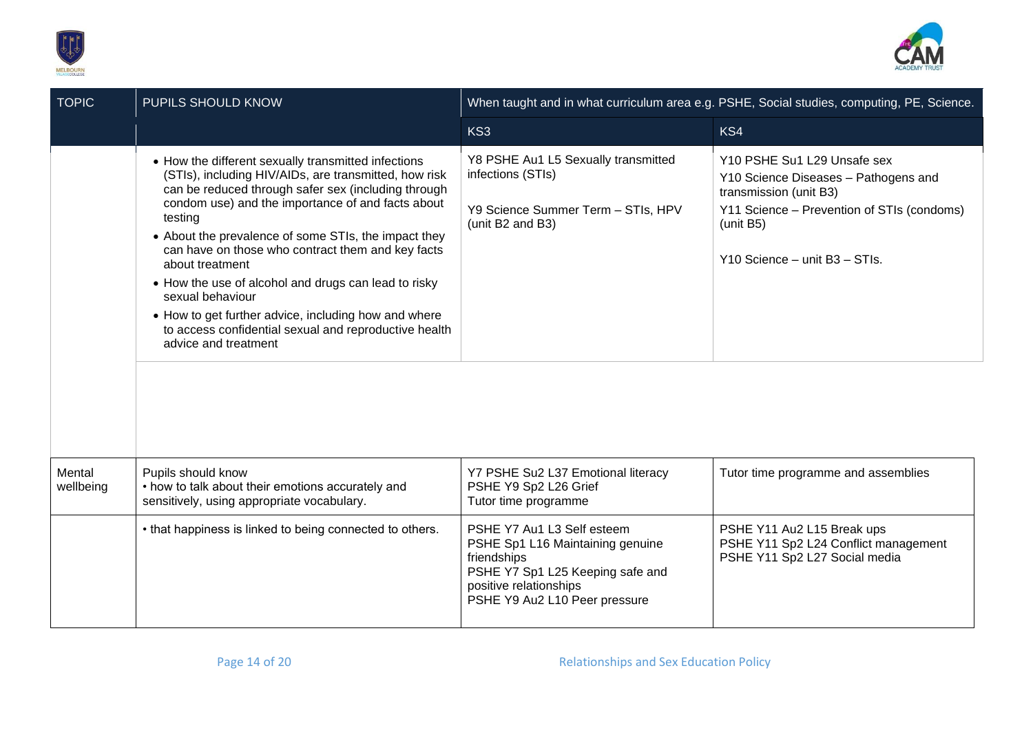



| <b>TOPIC</b>        | PUPILS SHOULD KNOW                                                                                                                                                                                                                                                                                                                                                                                                                                                                                                                                                                       | When taught and in what curriculum area e.g. PSHE, Social studies, computing, PE, Science.                                                                                   |                                                                                                                                                                                           |
|---------------------|------------------------------------------------------------------------------------------------------------------------------------------------------------------------------------------------------------------------------------------------------------------------------------------------------------------------------------------------------------------------------------------------------------------------------------------------------------------------------------------------------------------------------------------------------------------------------------------|------------------------------------------------------------------------------------------------------------------------------------------------------------------------------|-------------------------------------------------------------------------------------------------------------------------------------------------------------------------------------------|
|                     |                                                                                                                                                                                                                                                                                                                                                                                                                                                                                                                                                                                          | KS3                                                                                                                                                                          | KS4                                                                                                                                                                                       |
|                     | • How the different sexually transmitted infections<br>(STIs), including HIV/AIDs, are transmitted, how risk<br>can be reduced through safer sex (including through<br>condom use) and the importance of and facts about<br>testing<br>• About the prevalence of some STIs, the impact they<br>can have on those who contract them and key facts<br>about treatment<br>• How the use of alcohol and drugs can lead to risky<br>sexual behaviour<br>• How to get further advice, including how and where<br>to access confidential sexual and reproductive health<br>advice and treatment | Y8 PSHE Au1 L5 Sexually transmitted<br>infections (STIs)<br>Y9 Science Summer Term - STIs, HPV<br>(unit B2 and B3)                                                           | Y10 PSHE Su1 L29 Unsafe sex<br>Y10 Science Diseases - Pathogens and<br>transmission (unit B3)<br>Y11 Science - Prevention of STIs (condoms)<br>(unit B5)<br>Y10 Science - unit B3 - STIs. |
| Mental<br>wellbeing | Pupils should know<br>• how to talk about their emotions accurately and<br>sensitively, using appropriate vocabulary.                                                                                                                                                                                                                                                                                                                                                                                                                                                                    | Y7 PSHE Su2 L37 Emotional literacy<br>PSHE Y9 Sp2 L26 Grief<br>Tutor time programme                                                                                          | Tutor time programme and assemblies                                                                                                                                                       |
|                     | • that happiness is linked to being connected to others.                                                                                                                                                                                                                                                                                                                                                                                                                                                                                                                                 | PSHE Y7 Au1 L3 Self esteem<br>PSHE Sp1 L16 Maintaining genuine<br>friendships<br>PSHE Y7 Sp1 L25 Keeping safe and<br>positive relationships<br>PSHE Y9 Au2 L10 Peer pressure | PSHE Y11 Au2 L15 Break ups<br>PSHE Y11 Sp2 L24 Conflict management<br>PSHE Y11 Sp2 L27 Social media                                                                                       |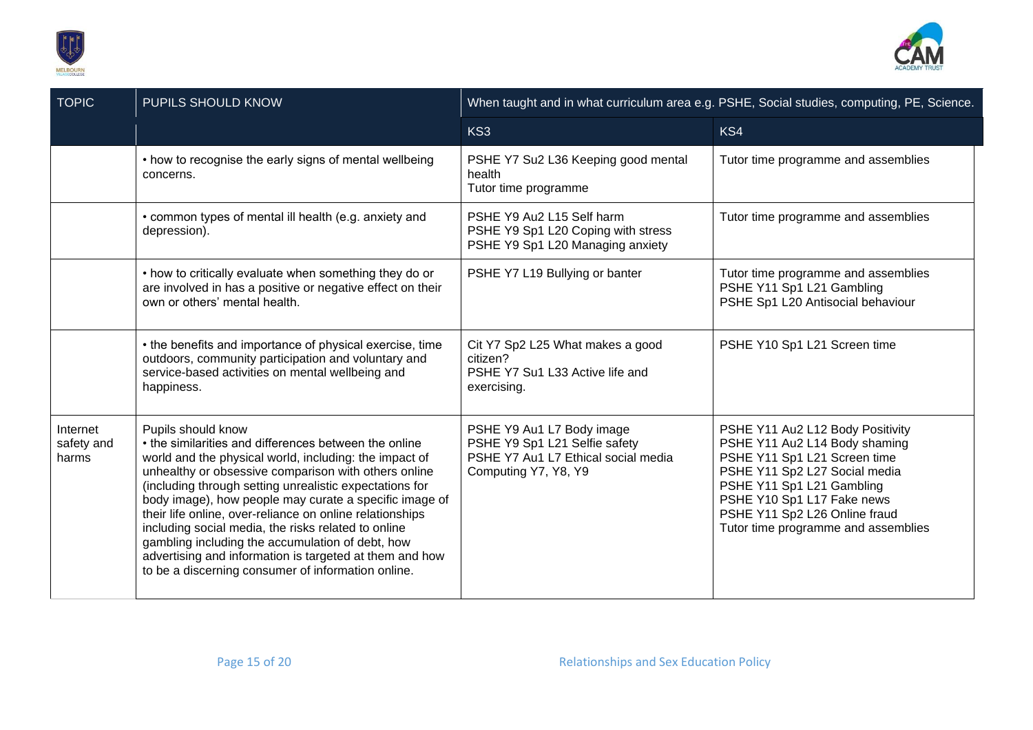



| <b>TOPIC</b>                    | PUPILS SHOULD KNOW                                                                                                                                                                                                                                                                                                                                                                                                                                                                                                                                                                                         | When taught and in what curriculum area e.g. PSHE, Social studies, computing, PE, Science.                                |                                                                                                                                                                                                                                                                       |
|---------------------------------|------------------------------------------------------------------------------------------------------------------------------------------------------------------------------------------------------------------------------------------------------------------------------------------------------------------------------------------------------------------------------------------------------------------------------------------------------------------------------------------------------------------------------------------------------------------------------------------------------------|---------------------------------------------------------------------------------------------------------------------------|-----------------------------------------------------------------------------------------------------------------------------------------------------------------------------------------------------------------------------------------------------------------------|
|                                 |                                                                                                                                                                                                                                                                                                                                                                                                                                                                                                                                                                                                            | KS3                                                                                                                       | KS4                                                                                                                                                                                                                                                                   |
|                                 | • how to recognise the early signs of mental wellbeing<br>concerns.                                                                                                                                                                                                                                                                                                                                                                                                                                                                                                                                        | PSHE Y7 Su2 L36 Keeping good mental<br>health<br>Tutor time programme                                                     | Tutor time programme and assemblies                                                                                                                                                                                                                                   |
|                                 | • common types of mental ill health (e.g. anxiety and<br>depression).                                                                                                                                                                                                                                                                                                                                                                                                                                                                                                                                      | PSHE Y9 Au2 L15 Self harm<br>PSHE Y9 Sp1 L20 Coping with stress<br>PSHE Y9 Sp1 L20 Managing anxiety                       | Tutor time programme and assemblies                                                                                                                                                                                                                                   |
|                                 | • how to critically evaluate when something they do or<br>are involved in has a positive or negative effect on their<br>own or others' mental health.                                                                                                                                                                                                                                                                                                                                                                                                                                                      | PSHE Y7 L19 Bullying or banter                                                                                            | Tutor time programme and assemblies<br>PSHE Y11 Sp1 L21 Gambling<br>PSHE Sp1 L20 Antisocial behaviour                                                                                                                                                                 |
|                                 | • the benefits and importance of physical exercise, time<br>outdoors, community participation and voluntary and<br>service-based activities on mental wellbeing and<br>happiness.                                                                                                                                                                                                                                                                                                                                                                                                                          | Cit Y7 Sp2 L25 What makes a good<br>citizen?<br>PSHE Y7 Su1 L33 Active life and<br>exercising.                            | PSHE Y10 Sp1 L21 Screen time                                                                                                                                                                                                                                          |
| Internet<br>safety and<br>harms | Pupils should know<br>• the similarities and differences between the online<br>world and the physical world, including: the impact of<br>unhealthy or obsessive comparison with others online<br>(including through setting unrealistic expectations for<br>body image), how people may curate a specific image of<br>their life online, over-reliance on online relationships<br>including social media, the risks related to online<br>gambling including the accumulation of debt, how<br>advertising and information is targeted at them and how<br>to be a discerning consumer of information online. | PSHE Y9 Au1 L7 Body image<br>PSHE Y9 Sp1 L21 Selfie safety<br>PSHE Y7 Au1 L7 Ethical social media<br>Computing Y7, Y8, Y9 | PSHE Y11 Au2 L12 Body Positivity<br>PSHE Y11 Au2 L14 Body shaming<br>PSHE Y11 Sp1 L21 Screen time<br>PSHE Y11 Sp2 L27 Social media<br>PSHE Y11 Sp1 L21 Gambling<br>PSHE Y10 Sp1 L17 Fake news<br>PSHE Y11 Sp2 L26 Online fraud<br>Tutor time programme and assemblies |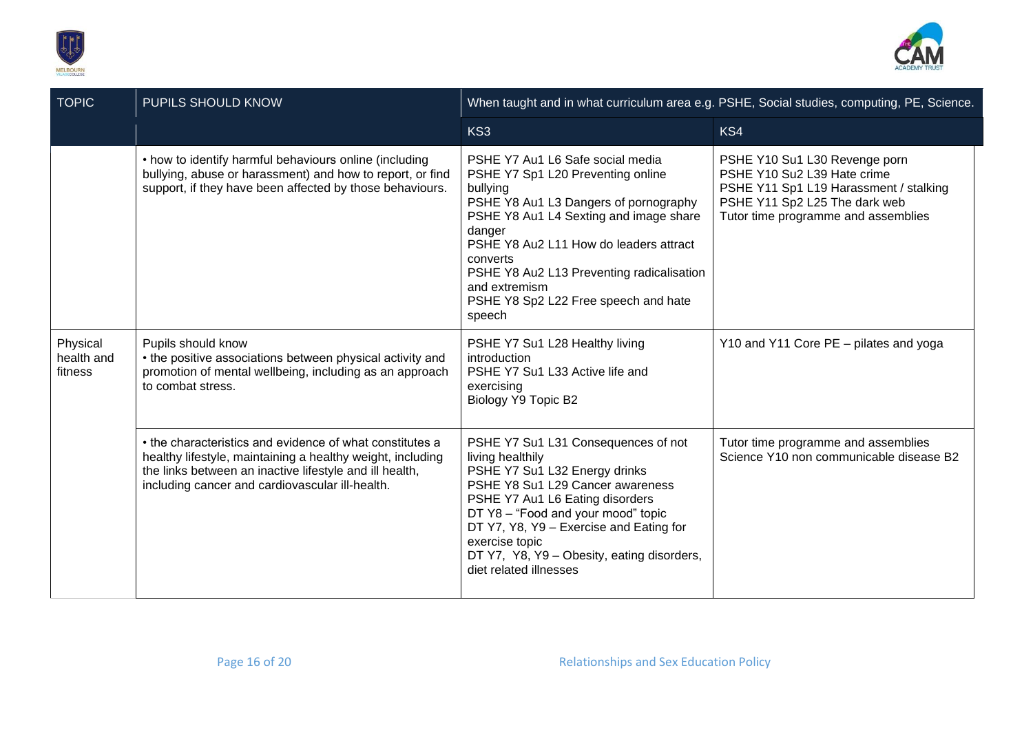



| <b>TOPIC</b>                      | PUPILS SHOULD KNOW                                                                                                                                                                                                                   | When taught and in what curriculum area e.g. PSHE, Social studies, computing, PE, Science.                                                                                                                                                                                                                                                           |                                                                                                                                                                                |
|-----------------------------------|--------------------------------------------------------------------------------------------------------------------------------------------------------------------------------------------------------------------------------------|------------------------------------------------------------------------------------------------------------------------------------------------------------------------------------------------------------------------------------------------------------------------------------------------------------------------------------------------------|--------------------------------------------------------------------------------------------------------------------------------------------------------------------------------|
|                                   |                                                                                                                                                                                                                                      | KS3                                                                                                                                                                                                                                                                                                                                                  | KS4                                                                                                                                                                            |
|                                   | • how to identify harmful behaviours online (including<br>bullying, abuse or harassment) and how to report, or find<br>support, if they have been affected by those behaviours.                                                      | PSHE Y7 Au1 L6 Safe social media<br>PSHE Y7 Sp1 L20 Preventing online<br>bullying<br>PSHE Y8 Au1 L3 Dangers of pornography<br>PSHE Y8 Au1 L4 Sexting and image share<br>danger<br>PSHE Y8 Au2 L11 How do leaders attract<br>converts<br>PSHE Y8 Au2 L13 Preventing radicalisation<br>and extremism<br>PSHE Y8 Sp2 L22 Free speech and hate<br>speech | PSHE Y10 Su1 L30 Revenge porn<br>PSHE Y10 Su2 L39 Hate crime<br>PSHE Y11 Sp1 L19 Harassment / stalking<br>PSHE Y11 Sp2 L25 The dark web<br>Tutor time programme and assemblies |
| Physical<br>health and<br>fitness | Pupils should know<br>• the positive associations between physical activity and<br>promotion of mental wellbeing, including as an approach<br>to combat stress.                                                                      | PSHE Y7 Su1 L28 Healthy living<br>introduction<br>PSHE Y7 Su1 L33 Active life and<br>exercising<br>Biology Y9 Topic B2                                                                                                                                                                                                                               | Y10 and Y11 Core PE - pilates and yoga                                                                                                                                         |
|                                   | • the characteristics and evidence of what constitutes a<br>healthy lifestyle, maintaining a healthy weight, including<br>the links between an inactive lifestyle and ill health,<br>including cancer and cardiovascular ill-health. | PSHE Y7 Su1 L31 Consequences of not<br>living healthily<br>PSHE Y7 Su1 L32 Energy drinks<br>PSHE Y8 Su1 L29 Cancer awareness<br>PSHE Y7 Au1 L6 Eating disorders<br>DT Y8 - "Food and your mood" topic<br>DT Y7, Y8, Y9 - Exercise and Eating for<br>exercise topic<br>DT Y7, Y8, Y9 - Obesity, eating disorders,<br>diet related illnesses           | Tutor time programme and assemblies<br>Science Y10 non communicable disease B2                                                                                                 |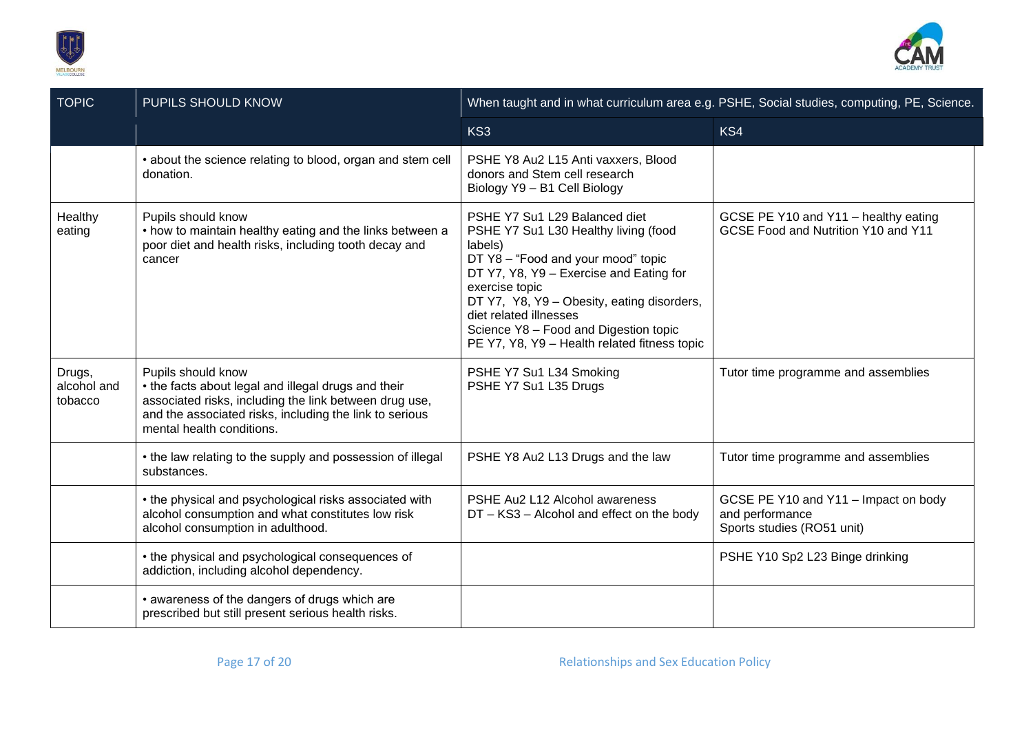



| <b>TOPIC</b>                     | <b>PUPILS SHOULD KNOW</b>                                                                                                                                                                                                   |                                                                                                                                                                                                                                                                                                                                                      | When taught and in what curriculum area e.g. PSHE, Social studies, computing, PE, Science. |
|----------------------------------|-----------------------------------------------------------------------------------------------------------------------------------------------------------------------------------------------------------------------------|------------------------------------------------------------------------------------------------------------------------------------------------------------------------------------------------------------------------------------------------------------------------------------------------------------------------------------------------------|--------------------------------------------------------------------------------------------|
|                                  |                                                                                                                                                                                                                             | KS3                                                                                                                                                                                                                                                                                                                                                  | KS4                                                                                        |
|                                  | • about the science relating to blood, organ and stem cell<br>donation.                                                                                                                                                     | PSHE Y8 Au2 L15 Anti vaxxers, Blood<br>donors and Stem cell research<br>Biology Y9 - B1 Cell Biology                                                                                                                                                                                                                                                 |                                                                                            |
| Healthy<br>eating                | Pupils should know<br>• how to maintain healthy eating and the links between a<br>poor diet and health risks, including tooth decay and<br>cancer                                                                           | PSHE Y7 Su1 L29 Balanced diet<br>PSHE Y7 Su1 L30 Healthy living (food<br>labels)<br>DT Y8 - "Food and your mood" topic<br>DT Y7, Y8, Y9 - Exercise and Eating for<br>exercise topic<br>DT Y7, Y8, Y9 - Obesity, eating disorders,<br>diet related illnesses<br>Science Y8 - Food and Digestion topic<br>PE Y7, Y8, Y9 - Health related fitness topic | GCSE PE Y10 and Y11 - healthy eating<br>GCSE Food and Nutrition Y10 and Y11                |
| Drugs,<br>alcohol and<br>tobacco | Pupils should know<br>• the facts about legal and illegal drugs and their<br>associated risks, including the link between drug use,<br>and the associated risks, including the link to serious<br>mental health conditions. | PSHE Y7 Su1 L34 Smoking<br>PSHE Y7 Su1 L35 Drugs                                                                                                                                                                                                                                                                                                     | Tutor time programme and assemblies                                                        |
|                                  | • the law relating to the supply and possession of illegal<br>substances.                                                                                                                                                   | PSHE Y8 Au2 L13 Drugs and the law                                                                                                                                                                                                                                                                                                                    | Tutor time programme and assemblies                                                        |
|                                  | • the physical and psychological risks associated with<br>alcohol consumption and what constitutes low risk<br>alcohol consumption in adulthood.                                                                            | PSHE Au2 L12 Alcohol awareness<br>DT - KS3 - Alcohol and effect on the body                                                                                                                                                                                                                                                                          | GCSE PE Y10 and Y11 - Impact on body<br>and performance<br>Sports studies (RO51 unit)      |
|                                  | • the physical and psychological consequences of<br>addiction, including alcohol dependency.                                                                                                                                |                                                                                                                                                                                                                                                                                                                                                      | PSHE Y10 Sp2 L23 Binge drinking                                                            |
|                                  | • awareness of the dangers of drugs which are<br>prescribed but still present serious health risks.                                                                                                                         |                                                                                                                                                                                                                                                                                                                                                      |                                                                                            |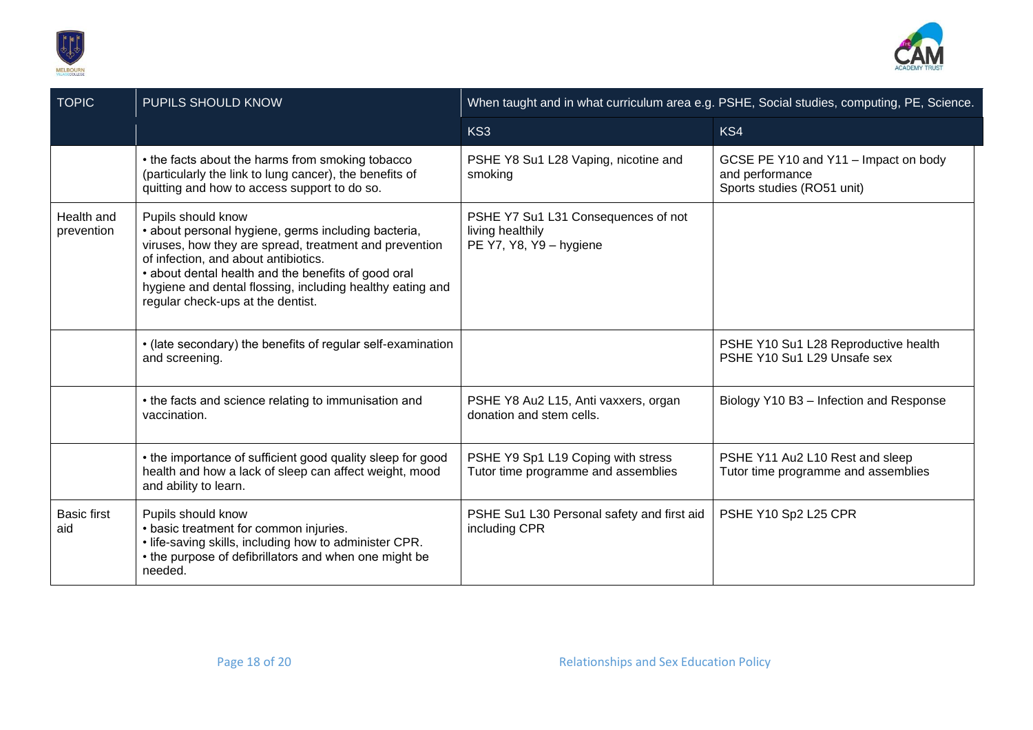



| <b>TOPIC</b>              | PUPILS SHOULD KNOW                                                                                                                                                                                                                                                                                                                   |                                                                                    | When taught and in what curriculum area e.g. PSHE, Social studies, computing, PE, Science. |
|---------------------------|--------------------------------------------------------------------------------------------------------------------------------------------------------------------------------------------------------------------------------------------------------------------------------------------------------------------------------------|------------------------------------------------------------------------------------|--------------------------------------------------------------------------------------------|
|                           |                                                                                                                                                                                                                                                                                                                                      | KS3                                                                                | KS4                                                                                        |
|                           | • the facts about the harms from smoking tobacco<br>(particularly the link to lung cancer), the benefits of<br>quitting and how to access support to do so.                                                                                                                                                                          | PSHE Y8 Su1 L28 Vaping, nicotine and<br>smoking                                    | GCSE PE Y10 and Y11 - Impact on body<br>and performance<br>Sports studies (RO51 unit)      |
| Health and<br>prevention  | Pupils should know<br>• about personal hygiene, germs including bacteria,<br>viruses, how they are spread, treatment and prevention<br>of infection, and about antibiotics.<br>• about dental health and the benefits of good oral<br>hygiene and dental flossing, including healthy eating and<br>regular check-ups at the dentist. | PSHE Y7 Su1 L31 Consequences of not<br>living healthily<br>PE Y7, Y8, Y9 - hygiene |                                                                                            |
|                           | • (late secondary) the benefits of regular self-examination<br>and screening.                                                                                                                                                                                                                                                        |                                                                                    | PSHE Y10 Su1 L28 Reproductive health<br>PSHE Y10 Su1 L29 Unsafe sex                        |
|                           | • the facts and science relating to immunisation and<br>vaccination.                                                                                                                                                                                                                                                                 | PSHE Y8 Au2 L15, Anti vaxxers, organ<br>donation and stem cells.                   | Biology Y10 B3 - Infection and Response                                                    |
|                           | • the importance of sufficient good quality sleep for good<br>health and how a lack of sleep can affect weight, mood<br>and ability to learn.                                                                                                                                                                                        | PSHE Y9 Sp1 L19 Coping with stress<br>Tutor time programme and assemblies          | PSHE Y11 Au2 L10 Rest and sleep<br>Tutor time programme and assemblies                     |
| <b>Basic first</b><br>aid | Pupils should know<br>• basic treatment for common injuries.<br>. life-saving skills, including how to administer CPR.<br>• the purpose of defibrillators and when one might be<br>needed.                                                                                                                                           | PSHE Su1 L30 Personal safety and first aid<br>including CPR                        | PSHE Y10 Sp2 L25 CPR                                                                       |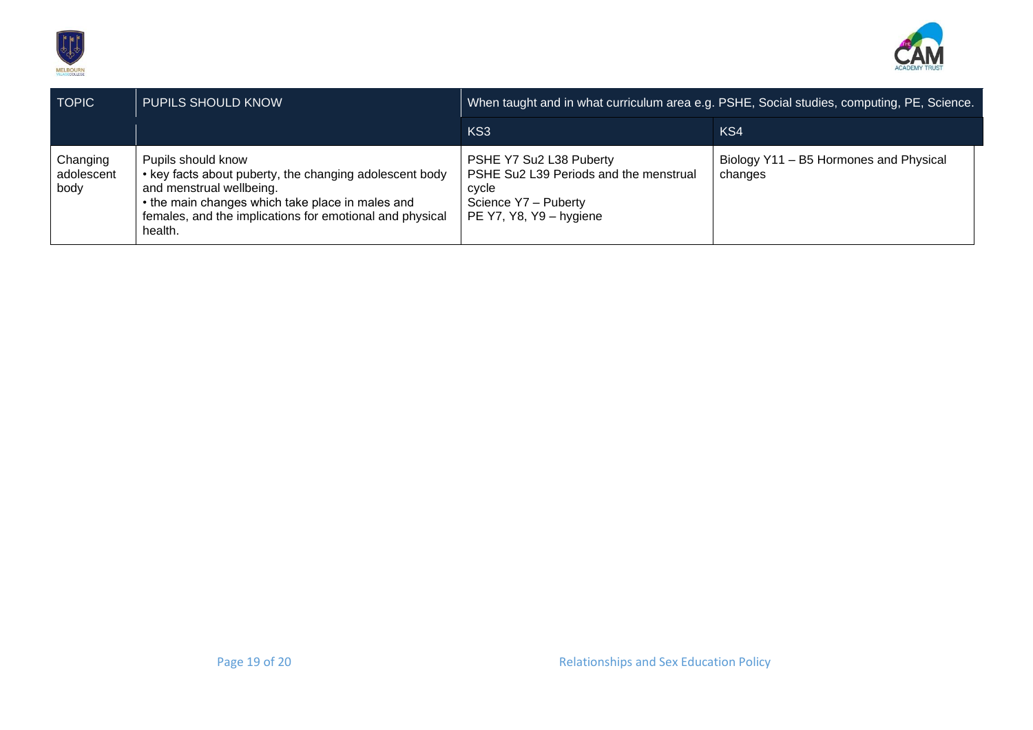



| <b>TOPIC</b>                   | <b>PUPILS SHOULD KNOW</b>                                                                                                                                                                                                            |                                                                                                                               | When taught and in what curriculum area e.g. PSHE, Social studies, computing, PE, Science. |
|--------------------------------|--------------------------------------------------------------------------------------------------------------------------------------------------------------------------------------------------------------------------------------|-------------------------------------------------------------------------------------------------------------------------------|--------------------------------------------------------------------------------------------|
|                                |                                                                                                                                                                                                                                      | KS <sub>3</sub>                                                                                                               | KS4                                                                                        |
| Changing<br>adolescent<br>body | Pupils should know<br>• key facts about puberty, the changing adolescent body<br>and menstrual wellbeing.<br>• the main changes which take place in males and<br>females, and the implications for emotional and physical<br>health. | PSHE Y7 Su2 L38 Puberty<br>PSHE Su2 L39 Periods and the menstrual<br>cvcle<br>Science Y7 - Puberty<br>PE Y7, Y8, Y9 - hygiene | Biology Y11 - B5 Hormones and Physical<br>changes                                          |